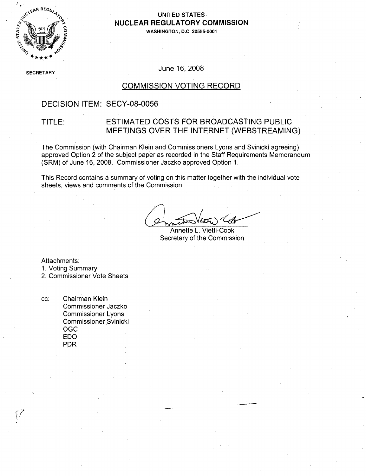

# **NUCLEAR** REGULATORY **COMMISSION**

**WASHINGTON, D.C. 20555-0001**

SECRETARY June 16, 2008

### COMMISSION VOTING RECORD

### DECISION ITEM: SECY-08-0056

### TITLE: ESTIMATED COSTS FOR BROADCASTING PUBLIC MEETINGS OVER THE INTERNET (WEBSTREAMING)

The Commission (with Chairman Klein and Commissioners Lyons and Svinicki agreeing) approved Option 2 of the subject paper as recorded in the Staff Requirements Memorandum (SRM) of June 16, 2008. Commissioner Jaczko approved Option 1.

This Record contains a summary of voting on this matter together with the individual vote sheets, views and comments of the Commission.

Annette L. Vietti-Cook Secretary of the Commission

Attachments:

1. Voting Summary

2. Commissioner Vote Sheets

cc: Chairman Klein Commissioner Jaczko Commissioner Lyons, Commissioner Svinicki OGC EDO PDR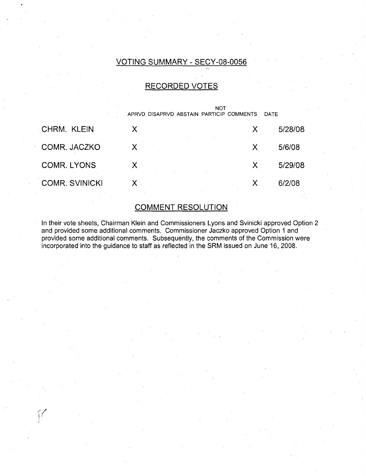### VOTING SUMMARY - SECY-08-0056

### RECORDED VOTES

|                       | <b>NOT</b><br>APRVD DISAPRVD ABSTAIN PARTICIP COMMENTS<br>DATE |   |         |  |
|-----------------------|----------------------------------------------------------------|---|---------|--|
| CHRM. KLEIN           | X                                                              | X | 5/28/08 |  |
| COMR. JACZKO          | Χ                                                              | X | 5/6/08  |  |
| <b>COMR. LYONS</b>    | $\cdot$ X                                                      | X | 5/29/08 |  |
| <b>COMR. SVINICKI</b> | $\mathsf{X}$ .                                                 |   | 6/2/08  |  |

### COMMENT RESOLUTION

In their vote sheets, Chairman Klein and Commissioners Lyons and Svinicki approved Option 2 and provided some additional comments. Commissioner Jaczko approved Option 1 and provided some additional comments. Subsequently, the comments of the Commission were incorporated into the guidance to staff as reflected in the SRM issued on June 16, 2008.

(f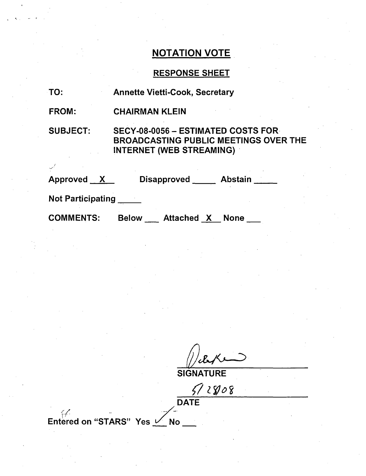### RESPONSE SHEET

| TO: |  |  | <b>Annette Vietti-Cook, Secretary</b> |  |
|-----|--|--|---------------------------------------|--|
|-----|--|--|---------------------------------------|--|

FROM: CHAIRMAN KLEIN

SUBJECT: SECY-08-0056 - ESTIMATED COSTS FOR-BROADCASTING PUBLIC MEETINGS OVER THE INTERNET (WEB STREAMING) **-**

| <b>Approved</b><br><b>A</b> | <b>Disapproved</b> | <b>Abstain</b> |
|-----------------------------|--------------------|----------------|
| <b>Not Participating</b>    |                    |                |

COMMENTS: Below \_\_\_\_ Attached <u>\_X </u> None

**SIGNATURE** 

 $512808$ DATE

Entered on "STARS" Yes  $\sqrt{\phantom{a}}$ No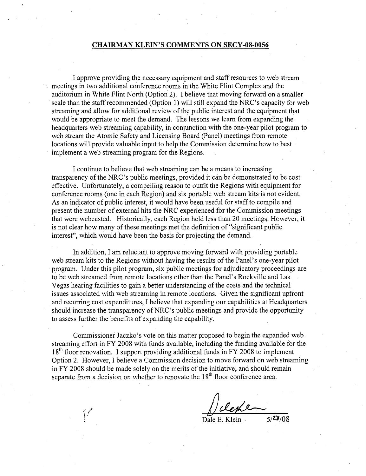#### **CHAIRMAN KLEIN'S COMMENTS ON SECY-08-0056**

**I** approve providing the necessary equipment and staff resources to web stream meetings in two additional conference rooms in the White Flint Complex and the auditorium in White Flint North (Option 2). **1** believe that moving forward on a smaller scale than the staff recommended (Option **1)** will still expand the NRC's capacity for web streaming and allow for additional review of the public interest and the equipment that would be appropriate to meet the demand. The lessons we learn from expanding the headquarters web streaming capability, in conjunction with the one-year pilot program to web stream the Atomic Safety and Licensing Board (Panel) meetings from remote locations will provide valuable input to help the Commission determine how to best implement a web streaming program for the Regions.

**I** continue to believe that web streaming can be a means to increasing transparency of the NRC's public meetings, provided it can be demonstrated to be cost effective. Unfortunately, a compelling reason to outfit the Regions with equipment for conference rooms (one in each Region) and six portable web stream kits is not evident. As an indicator of public interest, it would have been useful for staff to compile and present the number of external hits the NRC experienced for the Commission meetings that were webcasted. Historically, each Region held less than 20 meetings. However, it is not clear how many of these meetings met the definition of "significant public interest", which would have been the basis for projecting the demand.

In addition, **I** am reluctant to approve moving forward with providing portable web stream kits to the Regions without having the results of the Panel's one-year pilot program. Under this pilot program, six public meetings for adjudicatory proceedings are to be web streamed from remote locations other than the Panel's Rockville and Las Vegas hearing facilities to gain a better understanding of the costs and the technical issues associated with web streaming in remote locations. Given the significant upfront and recurring cost expenditures, **I** believe that expanding our capabilities at Headquarters should increase the transparency of NRC's public meetings and provide the opportunity to assess further the benefits **of** expanding the capability.

Commissioner Jaczko's vote on this matter proposed to begin the expanded web streaming effort in FY **2008** with funds available, including the funding available for the **18t1h** floor renovation. I support providing additional funds in FY **2008** to implement Option 2. However, **I** believe a Commission decision to move forward on web streaming in FY **2008** should be made solely on the merits of the initiative, and should remain separate from a decision on whether to renovate the  $18<sup>th</sup>$  floor conference area.

Dale **E.** Klein **5/7-)/08**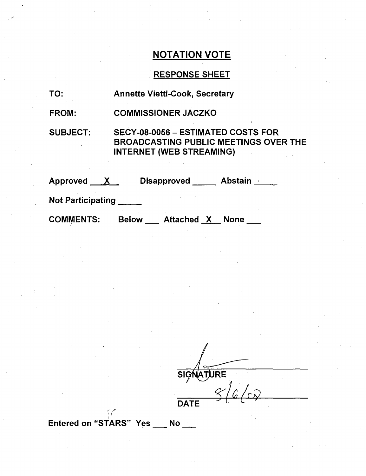### RESPONSE SHEET

| TO: |  | <b>Annette Vietti-Cook, Secretary</b> |  |
|-----|--|---------------------------------------|--|
|-----|--|---------------------------------------|--|

FROM: COMMISSIONER JACZKO

SUBJECT: SECY-08-0056 - ESTIMATED COSTS FOR BROADCASTING PUBLIC MEETINGS OVER THE INTERNET (WEB STREAMING)

| <b>Approved</b>          |              | <b>Disapproved</b> | <b>Abstain</b>   |  |
|--------------------------|--------------|--------------------|------------------|--|
| <b>Not Participating</b> |              |                    |                  |  |
| <b>COMMENTS:</b>         | <b>Below</b> | <b>Attached</b>    | <b>None</b><br>X |  |

**SIGNATURE DATE** 

Entered on "STARS" Yes No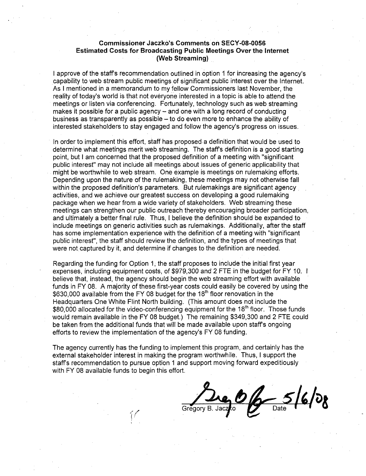#### Commissioner Jaczko's Comments on **SECY-08-0056** Estimated Costs for Broadcasting Public Meetings Over the Internet (Web Streaming)

I approve of the staffs recommendation outlined in option **1** for increasing the agency's .capability to web stream public meetings of significant public interest over the Internet. As I mentioned in a memorandum to my fellow Commissioners last November, the reality of today's world is that not everyone interested in a topic is able to attend the meetings or listen via conferencing. Fortunately, technology such as web streaming makes it possible for a public agency – and one with a long record of conducting business as transparently as possible  $-$  to do even more to enhance the ability of interested stakeholders to stay engaged and follow the agency's progress on issues.

In order to implement this effort, staff has proposed a definition that would be used to determine what meetings merit web streaming. The staffs definition is a good starting point, but I am concerned that the proposed definition of a meeting with "significant public interest" may not include all meetings about issues of generic applicability that might be worthwhile to web stream. One example is meetings on rulemaking efforts. Depending upon the nature of the rulemaking, these meetings may not otherwise fall within the proposed definition's parameters. But rulemakings are significant agency activities, and we achieve our greatest success on developing a good rulemaking package when we hear from a wide variety of stakeholders. Web streaming these meetings can strengthen our public outreach thereby encouraging broader participation, and ultimately a better final rule. Thus, I believe the definition should be expanded to include meetings on generic activities such as rulemakings. Additionally, after the staff has some implementation experience with the definition of a meeting with "significant public interest", the staff should review the definition, and the types of meetings that were not captured by it, and determine if changes to the definition are needed.

Regarding the funding for Option 1, the staff proposes to include the initial first year expenses, including equipment costs, of \$979,300 and 2 FTE in the budget for FY 10. I believe that, instead, the agency should begin the web streaming effort with available funds in FY 08. A majority of these first-year costs could easily be covered by using the \$630,000 available from the FY 08 budget for the 18<sup>th</sup> floor renovation in the Headquarters One White Flint North building. (This amount does not include the \$80,000 allocated for the video-conferencing equipment for the 18<sup>th</sup> floor. Those funds would remain available in the FY 08 budget.) The remaining \$349,300 and 2 FTE could be taken from the additional funds that will be made available upon staffs ongoing efforts to review the implementation of the agency's FY08 funding.

The agency currently has the funding to implement this program, and certainly has the external stakeholder interest in making the program worthwhile. Thus, I support the staffs recommendation to pursue option 1 and support moving forward expeditiously with FY 08 available funds to begin this effort.

 $-5/6/08$ Gregory B. Jacz**k**o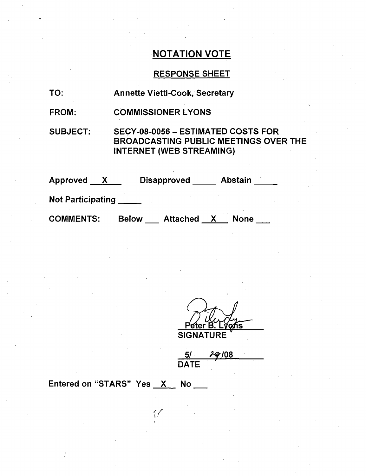### RESPONSE SHEET

- TO: Annette Vietti-Cook, Secretary
- FROM: COMMISSIONER LYONS

SUBJECT:

SECY-08-0056 - ESTIMATED COSTS FOR BROADCASTING PUBLIC MEETINGS OVER THE INTERNET (WEB STREAMING)

| <b>Approved</b>          |              | <b>Disapproved</b> | <b>Abstain</b> |  |
|--------------------------|--------------|--------------------|----------------|--|
| <b>Not Participating</b> |              |                    |                |  |
| <b>COMMENTS:</b>         | <b>Below</b> | <b>Attached</b>    | <b>None</b>    |  |

ter ็O∕∩ร

**SIGNATURE** 

**51 I8***10*  **DATE** 

Entered on "STARS" Yes \_\_X\_\_ No

 $\epsilon$  / L 1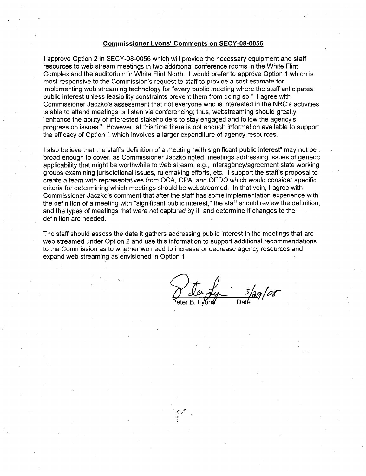#### Commissioner Lyons' Comments on **SECY-08-0056**

I approve Option 2 in SECY-08-0056 which will provide the necessary equipment and staff resources to web stream meetings in two additional conference rooms in the White Flint Complex and the auditorium in White Flint North. I would prefer to approve Option 1 which is most responsive to the Commission's request to staff to provide a cost estimate for implementing web streaming technology for "every public meeting where the staff anticipates public interest unless feasibility constraints prevent them from doing so." I agree with Commissioner Jaczko's assessment that not everyone who is interested in the NRC's activities is able to attend meetings or listen via conferencing; thus, webstreaming should greatly 'enhance the ability of interested stakeholders to stay engaged and follow the agency's progress on issues." However, at this time there is not enough information available to support the efficacy of Option 1 which involves a larger expenditure of agency resources.

I also believe that the staff's definition of a meeting "with significant public interest" may not be broad enough to cover, as Commissioner Jaczko noted, meetings addressing issues of generic applicability that might be worthwhile to web stream, e.g., interagency/agreement state working groups examining jurisdictional issues, rulemaking efforts, etc. I support the staff's proposal to create a team with representatives from OCA, OPA, and OEDO which would consider specific criteria for determining which meetings should be webstreamed. In that vein, I agree with Commissioner Jaczko's comment that after the staff has some implementation experience with the definition of a meeting with "significant public interest," the staff should review the definition, and the types of meetings that were not captured by it, and determine if changes to the definition are needed.

The staff should assess the data it gathers addressing public interest in the meetings that are web streamed under Option 2 and use this information to support additional recommendations to the Commission as to whether we need to increase or decrease agency resources and expand web streaming as envisioned in Option 1.

eter B. Lyons Date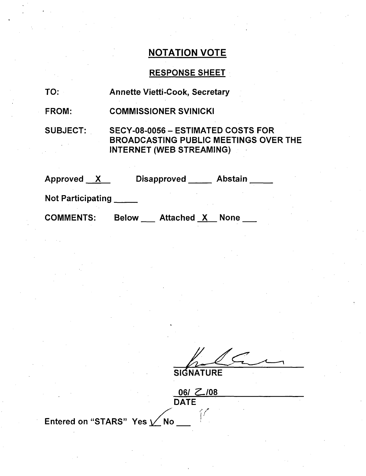### RESPONSE SHEET

- TO: Annette Vietti-Cook, Secretary
- FROM: COMMISSIONER SVINICKI

SUBJECT: SECY-08-0056 - ESTIMATED COSTS FOR BROADCASTING PUBLIC MEETINGS OVER THE INTERNET (WEB STREAMING)

| Approved<br>$\mathbf{X}$ | <b>Abstain</b><br><b>Disapproved</b>             |  |
|--------------------------|--------------------------------------------------|--|
| <b>Not Participating</b> |                                                  |  |
| <b>COMMENTS:</b>         | <b>Attached X</b><br><b>Below</b><br><b>None</b> |  |

**SIGNATURE** 

06/ Z.108 DATE

Entered on "STARS" Yes  $\angle$  No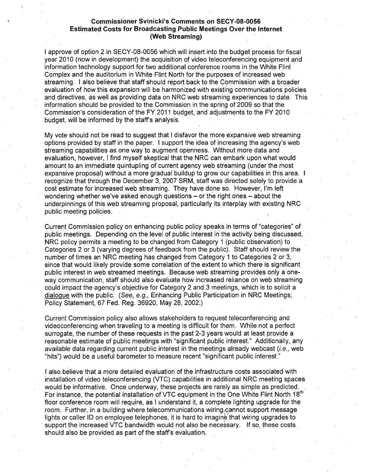#### Commissioner Svinicki's Comments on **SECY-08-0056** Estimated Costs for Broadcasting Public Meetings Over the Internet (Web Streaming)

**I** approve of option 2 in SECY-08-0056 which will insert into the budget process for fiscal year 2010 (now in development) the acquisition of video teleconferencing equipment and information technology support for two additional conference rooms in the White Flint Complex and the auditorium in White Flint North for the purposes of increased web streaming. I also believe that staff should report back to the Commission with a broader evaluation of how this expansion will be harmonized with existing communications policies and directives, as well as providing data on NRC web streaming experiences to date. This information should be provided to the Commission in the spring of 2009 so that the Commission's consideration of the-FY 2011 budget, and adjustments to the FY 2010 budget, will be informed by the staff's analysis.

My vote should not be read to suggest that I disfavor the more expansive web streaming options provided by staff in the paper. I support the idea of increasing the agency's web streaming capabilities as one way to augment openness. Without more data and evaluation, however, I find myself skeptical that the NRC can embark upon what would amount to an immediate quintupling of current agency web streaming (under the most expansive proposal) without a more gradual buildup to grow our capabilities in this area. I recognize that through the December 3, 2007 SRM, staff was directed solely to provide a cost estimate for increased web streaming. They have done so. However, I'm left wondering whether we've asked enough questions – or the right ones – about the underpinnings of this web streaming proposal, particularly its interplay with existing NRC public meeting policies.

Current Commission policy on enhancing public policy speaks in terms of "categories" of public meetings. Depending on the level of public interest in the activity being discussed, NRC policy permits a meeting to be changed from Category 1 (public observation) to Categories 2 or 3 (varying degrees of feedback from the public). Staff should review the number of times an NRC meeting has changed from Category 1 to Categories 2 or 3, since that would likely provide some correlation of the extent to which there is significant public interest in web streamed meetings. Because web streaming provides only a oneway communication, staff should also evaluate how increased reliance on web streaming could impact the agency's objective for Category 2 and .3 meetings, which is to solicit a dialoQue with the public. *(See, e.g.,* Enhancing Public Participation in NRC Meetings; Policy Statement, 67 Fed. Reg. 36920, May 28, 2002.)

Current Commission policy also allows stakeholders to request teleconferencing and videoconferencing when traveling to a meeting is difficult for them. While not a perfect surrogate, the number of these requests in the past 2-3 years would at least provide a reasonable estimate of public meetings with "significant public interest." Additionally, any available data regarding current public interest in the meetings already webcast (i.e., web "hits") would be a useful barometer to measure recent "significant public interest."

I also believe that a more detailed evaluation of the infrastructure costs associated with installation of video teleconferencing (VTC) capabilities in additional NRC meeting spaces would be informative. Once underway, these projects are rarely as simple as predicted. For instance, the potential installation of VTC equipment in the One White Flint North 18<sup>th</sup> floor conference room will require, as I understand it, a complete lighting upgrade for the room. Further, in a building where telecommunications wiring, cannot support message lights or caller ID on employee telephones, it is hard to imagine that wiring upgrades to support the increased VTC bandwidth would not also be necessary. If so, these costs should also be provided as part of the staff's evaluation.